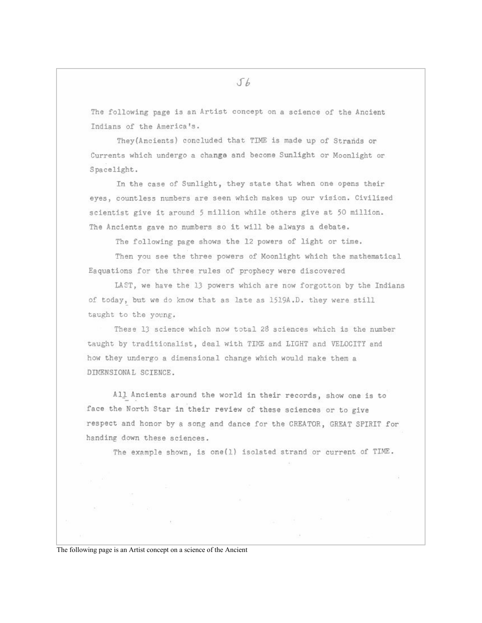The following page is an Artist concept on a science of the Ancient Indians of the America's.

They (Ancients) concluded that TIME is made up of Strands or Currents which undergo a change and become Sunlight or Moonlight or Spacelight.

In the case of Sunlight, they state that when one opens their eyes, countless numbers are seen which makes up our vision. Civilized scientist give it around 5 million while others give at 50 million. The Ancients gave no numbers so it will be always a debate.

The following page shows the 12 powers of light or time.

Then you see the three powers of Moonlight which the mathematical Eaquations for the three rules of prophecy were discovered

LAST, we have the 13 powers which are now forgotton by the Indians of today, but we do know that as late as 1519A.D. they were still taught to the young.

These 13 science which now total 28 sciences which is the number taught by traditionalist, deal with TIME and LIGHT and VELOCITY and how they undergo a dimensional change which would make them a DIMENSIONAL SCIENCE.

All Ancients around the world in their records, show one is to face the North Star in their review of these sciences or to give respect and honor by a song and dance for the CREATOR, GREAT SPIRIT for handing down these sciences.

The example shown, is one(1) isolated strand or current of TIME.

The following page is an Artist concept on a science of the Ancient